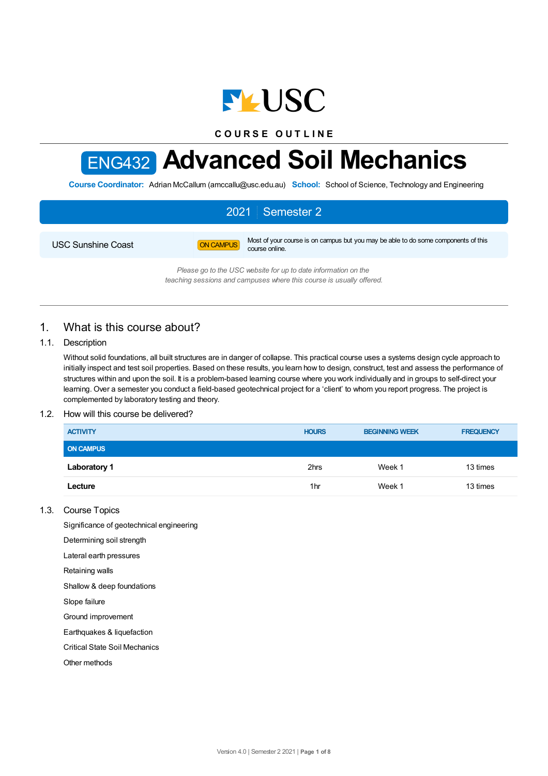

**C O U R S E O U T L I N E**

# ENG432 **Advanced Soil Mechanics**

**Course Coordinator:** Adrian McCallum (amccallu@usc.edu.au) **School:** School of Science, Technology and Engineering

# 2021 Semester 2

USC Sunshine Coast **ON CAMPUS** Most of your course is on campus but you may be able to do some components of this course online.

> *Please go to the USC website for up to date information on the teaching sessions and campuses where this course is usually offered.*

# 1. What is this course about?

## 1.1. Description

Without solid foundations, all built structures are in danger of collapse. This practical course uses a systems design cycle approach to initially inspect and test soil properties. Based on these results, you learn how to design, construct, test and assess the performance of structures within and upon the soil. It is a problem-based learning course where you work individually and in groups to self-direct your learning. Over a semester you conduct a field-based geotechnical project for a 'client' to whom you report progress. The project is complemented by laboratory testing and theory.

## 1.2. How will this course be delivered?

| <b>ACTIVITY</b>     | <b>HOURS</b> | <b>BEGINNING WEEK</b> | <b>FREQUENCY</b> |
|---------------------|--------------|-----------------------|------------------|
| <b>ON CAMPUS</b>    |              |                       |                  |
| <b>Laboratory 1</b> | 2hrs         | Week 1                | 13 times         |
| Lecture             | 1hr          | Week 1                | 13 times         |

## 1.3. Course Topics

Significance of geotechnical engineering

Determining soil strength

Lateral earth pressures

Retaining walls

Shallow & deep foundations

Slope failure

Ground improvement

Earthquakes & liquefaction

Critical State Soil Mechanics

Other methods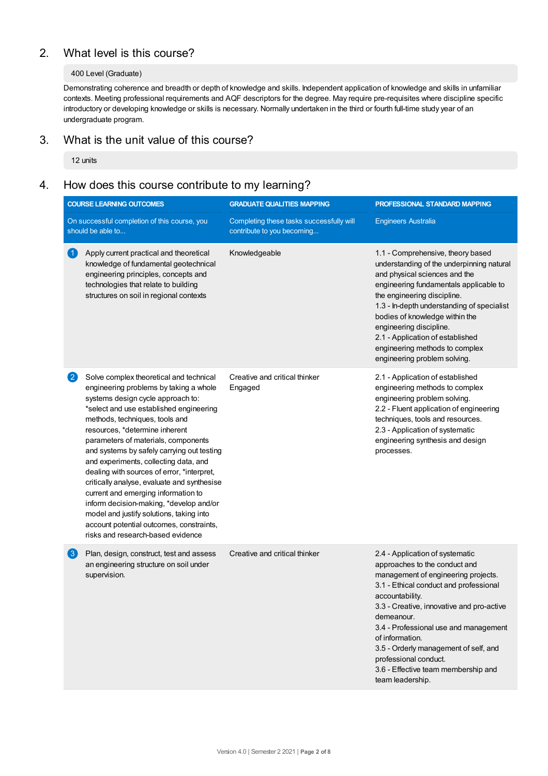# 2. What level is this course?

## 400 Level (Graduate)

Demonstrating coherence and breadth or depth of knowledge and skills. Independent application of knowledge and skills in unfamiliar contexts. Meeting professional requirements and AQF descriptors for the degree. May require pre-requisites where discipline specific introductory or developing knowledge or skills is necessary. Normally undertaken in the third or fourth full-time study year of an undergraduate program.

# 3. What is the unit value of this course?

12 units

# 4. How does this course contribute to my learning?

| <b>COURSE LEARNING OUTCOMES</b> |                                                                                                                                                                                                                                                                                                                                                                                                                                                                                                                                                                                                                                                                                 | <b>GRADUATE QUALITIES MAPPING</b>                                                                    | PROFESSIONAL STANDARD MAPPING                                                                                                                                                                                                                                                                                                                                                                                            |  |
|---------------------------------|---------------------------------------------------------------------------------------------------------------------------------------------------------------------------------------------------------------------------------------------------------------------------------------------------------------------------------------------------------------------------------------------------------------------------------------------------------------------------------------------------------------------------------------------------------------------------------------------------------------------------------------------------------------------------------|------------------------------------------------------------------------------------------------------|--------------------------------------------------------------------------------------------------------------------------------------------------------------------------------------------------------------------------------------------------------------------------------------------------------------------------------------------------------------------------------------------------------------------------|--|
|                                 | On successful completion of this course, you<br>should be able to                                                                                                                                                                                                                                                                                                                                                                                                                                                                                                                                                                                                               | Completing these tasks successfully will<br><b>Engineers Australia</b><br>contribute to you becoming |                                                                                                                                                                                                                                                                                                                                                                                                                          |  |
| $\vert$ 1.                      | Apply current practical and theoretical<br>knowledge of fundamental geotechnical<br>engineering principles, concepts and<br>technologies that relate to building<br>structures on soil in regional contexts                                                                                                                                                                                                                                                                                                                                                                                                                                                                     | Knowledgeable                                                                                        | 1.1 - Comprehensive, theory based<br>understanding of the underpinning natural<br>and physical sciences and the<br>engineering fundamentals applicable to<br>the engineering discipline.<br>1.3 - In-depth understanding of specialist<br>bodies of knowledge within the<br>engineering discipline.<br>2.1 - Application of established<br>engineering methods to complex<br>engineering problem solving.                |  |
| $\left 2\right\rangle$          | Solve complex theoretical and technical<br>engineering problems by taking a whole<br>systems design cycle approach to:<br>*select and use established engineering<br>methods, techniques, tools and<br>resources, *determine inherent<br>parameters of materials, components<br>and systems by safely carrying out testing<br>and experiments, collecting data, and<br>dealing with sources of error, *interpret,<br>critically analyse, evaluate and synthesise<br>current and emerging information to<br>inform decision-making, *develop and/or<br>model and justify solutions, taking into<br>account potential outcomes, constraints,<br>risks and research-based evidence | Creative and critical thinker<br>Engaged                                                             | 2.1 - Application of established<br>engineering methods to complex<br>engineering problem solving.<br>2.2 - Fluent application of engineering<br>techniques, tools and resources.<br>2.3 - Application of systematic<br>engineering synthesis and design<br>processes.                                                                                                                                                   |  |
| $\left(3\right)$                | Plan, design, construct, test and assess<br>an engineering structure on soil under<br>supervision.                                                                                                                                                                                                                                                                                                                                                                                                                                                                                                                                                                              | Creative and critical thinker                                                                        | 2.4 - Application of systematic<br>approaches to the conduct and<br>management of engineering projects.<br>3.1 - Ethical conduct and professional<br>accountability.<br>3.3 - Creative, innovative and pro-active<br>demeanour.<br>3.4 - Professional use and management<br>of information.<br>3.5 - Orderly management of self, and<br>professional conduct.<br>3.6 - Effective team membership and<br>team leadership. |  |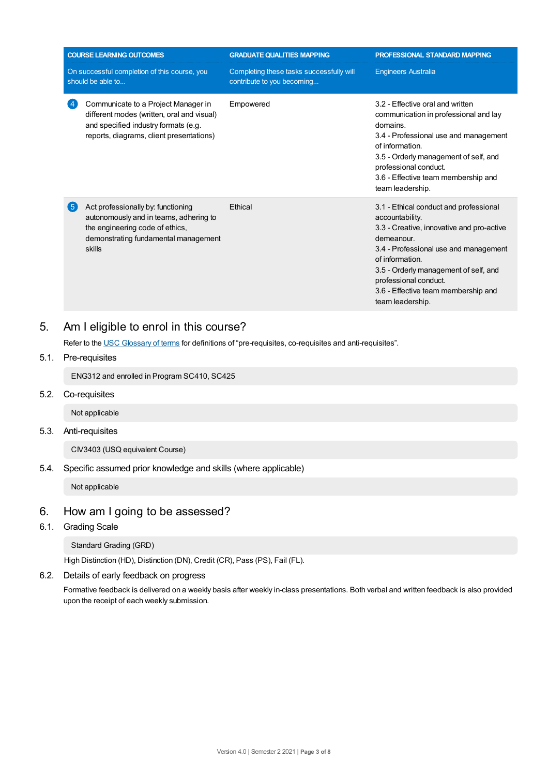|                                                                   | <b>COURSE LEARNING OUTCOMES</b>                                                                                                                                       | <b>GRADUATE QUALITIES MAPPING</b>                                      | PROFESSIONAL STANDARD MAPPING                                                                                                                                                                                                                                                                                 |  |
|-------------------------------------------------------------------|-----------------------------------------------------------------------------------------------------------------------------------------------------------------------|------------------------------------------------------------------------|---------------------------------------------------------------------------------------------------------------------------------------------------------------------------------------------------------------------------------------------------------------------------------------------------------------|--|
| On successful completion of this course, you<br>should be able to |                                                                                                                                                                       | Completing these tasks successfully will<br>contribute to you becoming | <b>Engineers Australia</b>                                                                                                                                                                                                                                                                                    |  |
|                                                                   | Communicate to a Project Manager in<br>different modes (written, oral and visual)<br>and specified industry formats (e.g.<br>reports, diagrams, client presentations) | Empowered                                                              | 3.2 - Effective oral and written<br>communication in professional and lay<br>domains.<br>3.4 - Professional use and management<br>of information.<br>3.5 - Orderly management of self, and<br>professional conduct.<br>3.6 - Effective team membership and<br>team leadership.                                |  |
| (5                                                                | Act professionally by: functioning<br>autonomously and in teams, adhering to<br>the engineering code of ethics,<br>demonstrating fundamental management<br>skills     | Ethical                                                                | 3.1 - Ethical conduct and professional<br>accountability.<br>3.3 - Creative, innovative and pro-active<br>demeanour.<br>3.4 - Professional use and management<br>of information.<br>3.5 - Orderly management of self, and<br>professional conduct.<br>3.6 - Effective team membership and<br>team leadership. |  |

# 5. Am Ieligible to enrol in this course?

Refer to the USC [Glossary](https://www.usc.edu.au/about/policies-and-procedures/glossary-of-terms-for-policy-and-procedures) of terms for definitions of "pre-requisites, co-requisites and anti-requisites".

5.1. Pre-requisites

ENG312 and enrolled in Program SC410, SC425

5.2. Co-requisites

Not applicable

5.3. Anti-requisites

CIV3403 (USQ equivalent Course)

5.4. Specific assumed prior knowledge and skills (where applicable)

Not applicable

# 6. How am Igoing to be assessed?

6.1. Grading Scale

Standard Grading (GRD)

High Distinction (HD), Distinction (DN), Credit (CR), Pass (PS), Fail (FL).

6.2. Details of early feedback on progress

Formative feedback is delivered on a weekly basis after weekly in-class presentations. Both verbal and written feedback is also provided upon the receipt of each weekly submission.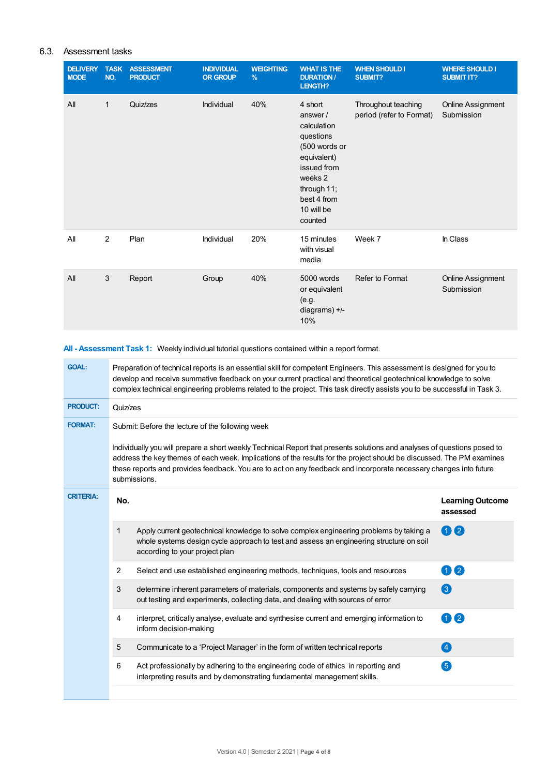## 6.3. Assessment tasks

| <b>DELIVERY</b><br><b>MODE</b> | <b>TASK</b><br>NO. | <b>ASSESSMENT</b><br><b>PRODUCT</b> | <b>INDIVIDUAL</b><br><b>OR GROUP</b> | <b>WEIGHTING</b><br>% | <b>WHAT IS THE</b><br><b>DURATION/</b><br>LENGTH?                                                                                                               | <b>WHEN SHOULD I</b><br><b>SUBMIT?</b>          | <b>WHERE SHOULD I</b><br><b>SUBMIT IT?</b> |
|--------------------------------|--------------------|-------------------------------------|--------------------------------------|-----------------------|-----------------------------------------------------------------------------------------------------------------------------------------------------------------|-------------------------------------------------|--------------------------------------------|
| All                            | 1                  | Quiz/zes                            | Individual                           | 40%                   | 4 short<br>answer/<br>calculation<br>questions<br>(500 words or<br>equivalent)<br>issued from<br>weeks 2<br>through 11;<br>best 4 from<br>10 will be<br>counted | Throughout teaching<br>period (refer to Format) | Online Assignment<br>Submission            |
| All                            | $\overline{2}$     | Plan                                | Individual                           | 20%                   | 15 minutes<br>with visual<br>media                                                                                                                              | Week 7                                          | In Class                                   |
| All                            | 3                  | Report                              | Group                                | 40%                   | 5000 words<br>or equivalent<br>(e.g.<br>diagrams) $+/-$<br>10%                                                                                                  | Refer to Format                                 | <b>Online Assignment</b><br>Submission     |

# **All - Assessment Task 1:** Weekly individual tutorial questions contained within a report format.

| <b>GOAL:</b>     | Preparation of technical reports is an essential skill for competent Engineers. This assessment is designed for you to<br>develop and receive summative feedback on your current practical and theoretical geotechnical knowledge to solve<br>complex technical engineering problems related to the project. This task directly assists you to be successful in Task 3.                |                                                                                                                                                                                                                     |                                     |  |  |  |
|------------------|----------------------------------------------------------------------------------------------------------------------------------------------------------------------------------------------------------------------------------------------------------------------------------------------------------------------------------------------------------------------------------------|---------------------------------------------------------------------------------------------------------------------------------------------------------------------------------------------------------------------|-------------------------------------|--|--|--|
| <b>PRODUCT:</b>  | Quiz/zes                                                                                                                                                                                                                                                                                                                                                                               |                                                                                                                                                                                                                     |                                     |  |  |  |
| <b>FORMAT:</b>   |                                                                                                                                                                                                                                                                                                                                                                                        | Submit: Before the lecture of the following week                                                                                                                                                                    |                                     |  |  |  |
|                  | Individually you will prepare a short weekly Technical Report that presents solutions and analyses of questions posed to<br>address the key themes of each week. Implications of the results for the project should be discussed. The PM examines<br>these reports and provides feedback. You are to act on any feedback and incorporate necessary changes into future<br>submissions. |                                                                                                                                                                                                                     |                                     |  |  |  |
| <b>CRITERIA:</b> | No.                                                                                                                                                                                                                                                                                                                                                                                    |                                                                                                                                                                                                                     | <b>Learning Outcome</b><br>assessed |  |  |  |
|                  | 1                                                                                                                                                                                                                                                                                                                                                                                      | Apply current geotechnical knowledge to solve complex engineering problems by taking a<br>whole systems design cycle approach to test and assess an engineering structure on soil<br>according to your project plan | 02                                  |  |  |  |
|                  | 2                                                                                                                                                                                                                                                                                                                                                                                      | Select and use established engineering methods, techniques, tools and resources                                                                                                                                     | 02                                  |  |  |  |
|                  | 3                                                                                                                                                                                                                                                                                                                                                                                      | determine inherent parameters of materials, components and systems by safely carrying<br>out testing and experiments, collecting data, and dealing with sources of error                                            | 3                                   |  |  |  |
|                  | 4                                                                                                                                                                                                                                                                                                                                                                                      | interpret, critically analyse, evaluate and synthesise current and emerging information to<br>inform decision-making                                                                                                | $\mathbf{\Omega}$                   |  |  |  |
|                  | 5                                                                                                                                                                                                                                                                                                                                                                                      | Communicate to a 'Project Manager' in the form of written technical reports                                                                                                                                         | $\left( 4\right)$                   |  |  |  |
|                  | 6                                                                                                                                                                                                                                                                                                                                                                                      | Act professionally by adhering to the engineering code of ethics in reporting and<br>interpreting results and by demonstrating fundamental management skills.                                                       | 6                                   |  |  |  |
|                  |                                                                                                                                                                                                                                                                                                                                                                                        |                                                                                                                                                                                                                     |                                     |  |  |  |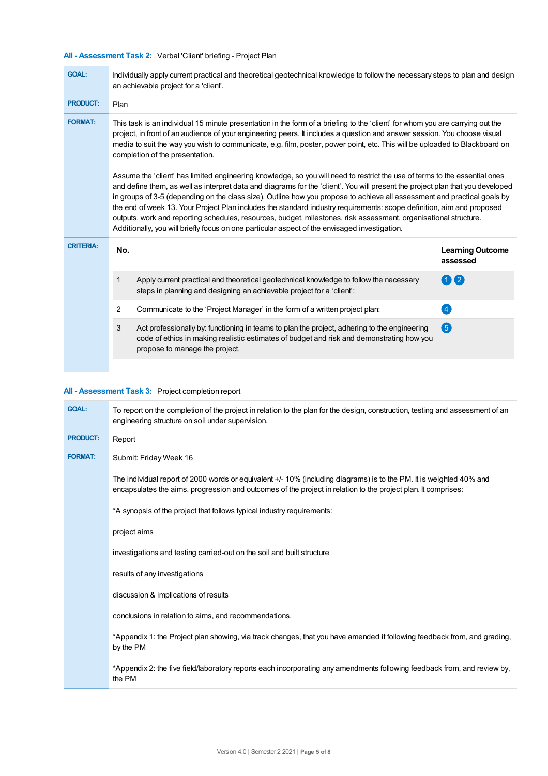# **All - Assessment Task 2:** Verbal 'Client' briefing - Project Plan

| <b>GOAL:</b>     | Individually apply current practical and theoretical geotechnical knowledge to follow the necessary steps to plan and design<br>an achievable project for a 'client'.                                                                                                                                                                                                                                                                                                                                                                                                                                                                 |                                                                                                                                                                                           |                                     |  |  |
|------------------|---------------------------------------------------------------------------------------------------------------------------------------------------------------------------------------------------------------------------------------------------------------------------------------------------------------------------------------------------------------------------------------------------------------------------------------------------------------------------------------------------------------------------------------------------------------------------------------------------------------------------------------|-------------------------------------------------------------------------------------------------------------------------------------------------------------------------------------------|-------------------------------------|--|--|
| <b>PRODUCT:</b>  | Plan                                                                                                                                                                                                                                                                                                                                                                                                                                                                                                                                                                                                                                  |                                                                                                                                                                                           |                                     |  |  |
| <b>FORMAT:</b>   | This task is an individual 15 minute presentation in the form of a briefing to the 'client' for whom you are carrying out the<br>project, in front of an audience of your engineering peers. It includes a question and answer session. You choose visual<br>media to suit the way you wish to communicate, e.g. film, poster, power point, etc. This will be uploaded to Blackboard on<br>completion of the presentation.                                                                                                                                                                                                            |                                                                                                                                                                                           |                                     |  |  |
|                  | Assume the 'client' has limited engineering knowledge, so you will need to restrict the use of terms to the essential ones<br>and define them, as well as interpret data and diagrams for the 'client'. You will present the project plan that you developed<br>in groups of 3-5 (depending on the class size). Outline how you propose to achieve all assessment and practical goals by<br>the end of week 13. Your Project Plan includes the standard industry requirements: scope definition, aim and proposed<br>outputs, work and reporting schedules, resources, budget, milestones, risk assessment, organisational structure. |                                                                                                                                                                                           |                                     |  |  |
| <b>CRITERIA:</b> | No.                                                                                                                                                                                                                                                                                                                                                                                                                                                                                                                                                                                                                                   |                                                                                                                                                                                           | <b>Learning Outcome</b><br>assessed |  |  |
|                  | 1                                                                                                                                                                                                                                                                                                                                                                                                                                                                                                                                                                                                                                     | Apply current practical and theoretical geotechnical knowledge to follow the necessary<br>steps in planning and designing an achievable project for a 'client':                           | 02                                  |  |  |
|                  | $\overline{2}$                                                                                                                                                                                                                                                                                                                                                                                                                                                                                                                                                                                                                        | Communicate to the 'Project Manager' in the form of a written project plan:                                                                                                               | 4                                   |  |  |
|                  | 3                                                                                                                                                                                                                                                                                                                                                                                                                                                                                                                                                                                                                                     | Act professionally by: functioning in teams to plan the project, adhering to the engineering<br>code of ethics in making realistic estimates of budget and risk and demonstrating how you | 6                                   |  |  |
|                  |                                                                                                                                                                                                                                                                                                                                                                                                                                                                                                                                                                                                                                       | propose to manage the project.                                                                                                                                                            |                                     |  |  |

# **All - Assessment Task 3:** Project completion report

| <b>GOAL:</b>    | To report on the completion of the project in relation to the plan for the design, construction, testing and assessment of an<br>engineering structure on soil under supervision.                                                   |
|-----------------|-------------------------------------------------------------------------------------------------------------------------------------------------------------------------------------------------------------------------------------|
| <b>PRODUCT:</b> | Report                                                                                                                                                                                                                              |
| <b>FORMAT:</b>  | Submit: Friday Week 16                                                                                                                                                                                                              |
|                 | The individual report of 2000 words or equivalent +/-10% (including diagrams) is to the PM. It is weighted 40% and<br>encapsulates the aims, progression and outcomes of the project in relation to the project plan. It comprises: |
|                 | *A synopsis of the project that follows typical industry requirements:                                                                                                                                                              |
|                 | project aims                                                                                                                                                                                                                        |
|                 | investigations and testing carried-out on the soil and built structure                                                                                                                                                              |
|                 | results of any investigations                                                                                                                                                                                                       |
|                 | discussion & implications of results                                                                                                                                                                                                |
|                 | conclusions in relation to aims, and recommendations.                                                                                                                                                                               |
|                 | *Appendix 1: the Project plan showing, via track changes, that you have amended it following feedback from, and grading,<br>by the PM                                                                                               |
|                 | *Appendix 2: the five field/laboratory reports each incorporating any amendments following feedback from, and review by,<br>the PM                                                                                                  |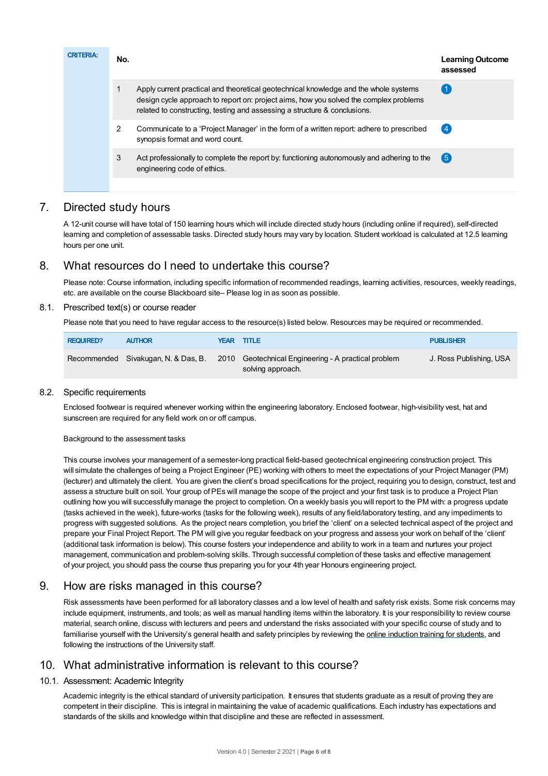| <b>CRITERIA:</b> | No. |                                                                                                                                                                                                                                                            | <b>Learning Outcome</b><br>assessed |
|------------------|-----|------------------------------------------------------------------------------------------------------------------------------------------------------------------------------------------------------------------------------------------------------------|-------------------------------------|
|                  |     | Apply current practical and theoretical geotechnical knowledge and the whole systems<br>design cycle approach to report on: project aims, how you solved the complex problems<br>related to constructing, testing and assessing a structure & conclusions. |                                     |
|                  | 2   | Communicate to a 'Project Manager' in the form of a written report: adhere to prescribed<br>synopsis format and word count.                                                                                                                                | $\overline{4}$                      |
|                  | 3   | Act professionally to complete the report by: functioning autonomously and adhering to the<br>engineering code of ethics.                                                                                                                                  | (5)                                 |
|                  |     |                                                                                                                                                                                                                                                            |                                     |

# 7. Directed study hours

A 12-unit course will have total of 150 learning hours which will include directed study hours (including online if required), self-directed learning and completion of assessable tasks. Directed study hours may vary by location. Student workload is calculated at 12.5 learning hours per one unit.

# 8. What resources do I need to undertake this course?

Please note: Course information, including specific information of recommended readings, learning activities, resources, weekly readings, etc. are available on the course Blackboard site– Please log in as soon as possible.

## 8.1. Prescribed text(s) or course reader

Please note that you need to have regular access to the resource(s) listed below. Resources may be required or recommended.

| <b>REQUIRED?</b> | <b>AUTHOR</b>                       | <b>YEAR TITLE</b>                                                        | <b>PUBLISHER</b>        |
|------------------|-------------------------------------|--------------------------------------------------------------------------|-------------------------|
|                  | Recommended Sivakugan, N. & Das, B. | 2010 Geotechnical Engineering - A practical problem<br>solving approach. | J. Ross Publishing, USA |

## 8.2. Specific requirements

Enclosed footwear is required whenever working within the engineering laboratory. Enclosed footwear, high-visibility vest, hat and sunscreen are required for any field work on or off campus.

#### Background to the assessment tasks

This course involves your management of a semester-long practical field-based geotechnical engineering construction project. This will simulate the challenges of being a Project Engineer (PE) working with others to meet the expectations of your Project Manager (PM) (lecturer) and ultimately the client. You are given the client's broad specifications for the project, requiring you to design, construct, test and assess a structure built on soil. Your group of PEs will manage the scope of the project and your first task is to produce a Project Plan outlining how you will successfully manage the project to completion. On a weekly basis you will report to the PM with: a progress update (tasks achieved in the week), future-works (tasks for the following week), results of any field/laboratory testing, and any impediments to progress with suggested solutions. As the project nears completion, you brief the 'client' on a selected technical aspect of the project and prepare your Final Project Report. The PM will give you regular feedback on your progress and assess your work on behalf of the 'client' (additional task information is below). This course fosters your independence and ability to work in a team and nurtures your project management, communication and problem-solving skills. Through successful completion of these tasks and effective management of your project, you should pass the course thus preparing you for your 4th year Honours engineering project.

# 9. How are risks managed in this course?

Risk assessments have been performed for all laboratory classes and a low level of health and safety risk exists. Some risk concerns may include equipment, instruments, and tools; as well as manual handling items within the laboratory. It is your responsibility to review course material, search online, discuss with lecturers and peers and understand the risks associated with your specific course of study and to familiarise yourself with the University's general health and safety principles by reviewing the online [induction](https://online.usc.edu.au/webapps/blackboard/content/listContentEditable.jsp?content_id=_632657_1&course_id=_14432_1) training for students, and following the instructions of the University staff.

# 10. What administrative information is relevant to this course?

## 10.1. Assessment: Academic Integrity

Academic integrity is the ethical standard of university participation. It ensures that students graduate as a result of proving they are competent in their discipline. This is integral in maintaining the value of academic qualifications. Each industry has expectations and standards of the skills and knowledge within that discipline and these are reflected in assessment.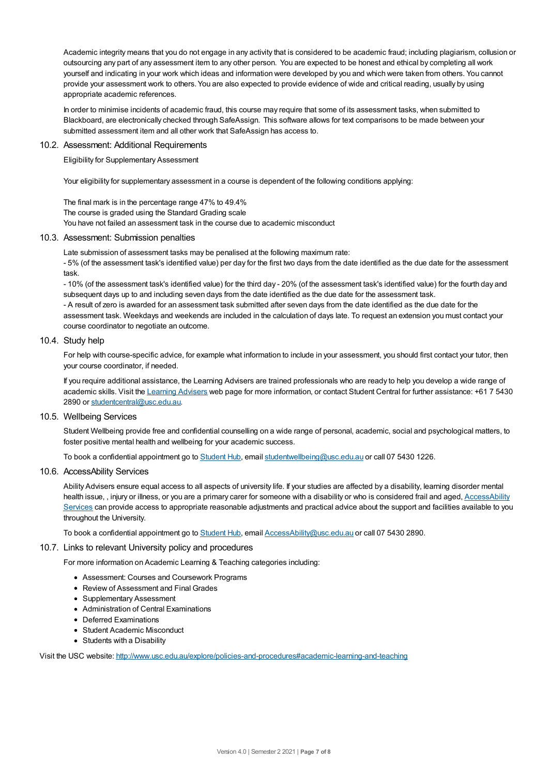Academic integrity means that you do not engage in any activity that is considered to be academic fraud; including plagiarism, collusion or outsourcing any part of any assessment item to any other person. You are expected to be honest and ethical by completing all work yourself and indicating in your work which ideas and information were developed by you and which were taken from others. You cannot provide your assessment work to others.You are also expected to provide evidence of wide and critical reading, usually by using appropriate academic references.

In order to minimise incidents of academic fraud, this course may require that some of its assessment tasks, when submitted to Blackboard, are electronically checked through SafeAssign. This software allows for text comparisons to be made between your submitted assessment item and all other work that SafeAssign has access to.

#### 10.2. Assessment: Additional Requirements

Eligibility for Supplementary Assessment

Your eligibility for supplementary assessment in a course is dependent of the following conditions applying:

The final mark is in the percentage range 47% to 49.4% The course is graded using the Standard Grading scale You have not failed an assessment task in the course due to academic misconduct

#### 10.3. Assessment: Submission penalties

Late submission of assessment tasks may be penalised at the following maximum rate:

- 5% (of the assessment task's identified value) per day for the first two days from the date identified as the due date for the assessment task.

- 10% (of the assessment task's identified value) for the third day - 20% (of the assessment task's identified value) for the fourth day and subsequent days up to and including seven days from the date identified as the due date for the assessment task. - A result of zero is awarded for an assessment task submitted after seven days from the date identified as the due date for the assessment task. Weekdays and weekends are included in the calculation of days late. To request an extension you must contact your course coordinator to negotiate an outcome.

#### 10.4. Study help

For help with course-specific advice, for example what information to include in your assessment, you should first contact your tutor, then your course coordinator, if needed.

If you require additional assistance, the Learning Advisers are trained professionals who are ready to help you develop a wide range of academic skills. Visit the Learning [Advisers](https://www.usc.edu.au/current-students/student-support/academic-and-study-support/learning-advisers) web page for more information, or contact Student Central for further assistance: +61 7 5430 2890 or [studentcentral@usc.edu.au](mailto:studentcentral@usc.edu.au).

#### 10.5. Wellbeing Services

Student Wellbeing provide free and confidential counselling on a wide range of personal, academic, social and psychological matters, to foster positive mental health and wellbeing for your academic success.

To book a confidential appointment go to [Student](https://studenthub.usc.edu.au/) Hub, email [studentwellbeing@usc.edu.au](mailto:studentwellbeing@usc.edu.au) or call 07 5430 1226.

#### 10.6. AccessAbility Services

Ability Advisers ensure equal access to all aspects of university life. If your studies are affected by a disability, learning disorder mental health issue, , injury or illness, or you are a primary carer for someone with a disability or who is considered frail and aged, [AccessAbility](https://www.usc.edu.au/learn/student-support/accessability-services/documentation-requirements) Services can provide access to appropriate reasonable adjustments and practical advice about the support and facilities available to you throughout the University.

To book a confidential appointment go to [Student](https://studenthub.usc.edu.au/) Hub, email [AccessAbility@usc.edu.au](mailto:AccessAbility@usc.edu.au) or call 07 5430 2890.

#### 10.7. Links to relevant University policy and procedures

For more information on Academic Learning & Teaching categories including:

- Assessment: Courses and Coursework Programs
- Review of Assessment and Final Grades
- Supplementary Assessment
- Administration of Central Examinations
- Deferred Examinations
- Student Academic Misconduct
- Students with a Disability

Visit the USC website: <http://www.usc.edu.au/explore/policies-and-procedures#academic-learning-and-teaching>